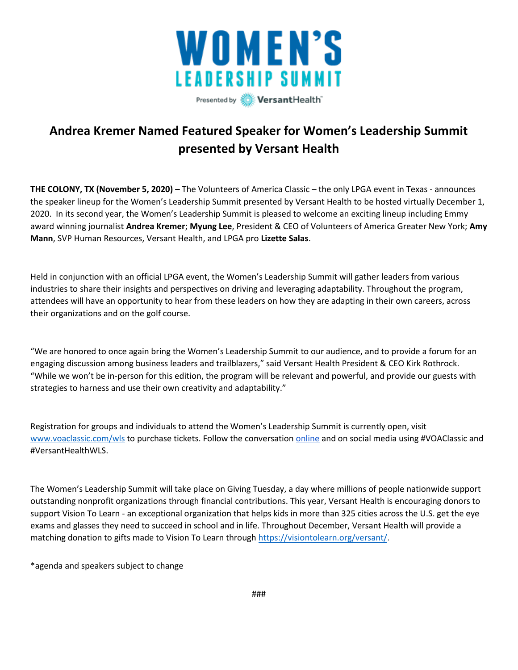

## **Andrea Kremer Named Featured Speaker for Women's Leadership Summit presented by Versant Health**

**THE COLONY, TX (November 5, 2020) –** The Volunteers of America Classic – the only LPGA event in Texas - announces the speaker lineup for the Women's Leadership Summit presented by Versant Health to be hosted virtually December 1, 2020. In its second year, the Women's Leadership Summit is pleased to welcome an exciting lineup including Emmy award winning journalist **Andrea Kremer**; **Myung Lee**, President & CEO of Volunteers of America Greater New York; **Amy Mann**, SVP Human Resources, Versant Health, and LPGA pro **Lizette Salas**.

Held in conjunction with an official LPGA event, the Women's Leadership Summit will gather leaders from various industries to share their insights and perspectives on driving and leveraging adaptability. Throughout the program, attendees will have an opportunity to hear from these leaders on how they are adapting in their own careers, across their organizations and on the golf course.

"We are honored to once again bring the Women's Leadership Summit to our audience, and to provide a forum for an engaging discussion among business leaders and trailblazers," said Versant Health President & CEO Kirk Rothrock. "While we won't be in-person for this edition, the program will be relevant and powerful, and provide our guests with strategies to harness and use their own creativity and adaptability."

Registration for groups and individuals to attend the Women's Leadership Summit is currently open, visit [www.voaclassic.com/wls](http://www.voaclassic.com/wls) to purchase tickets. Follow the conversation [online](https://www.voa.org/volunteers-of-america-classic) and on social media using #VOAClassic and #VersantHealthWLS.

The Women's Leadership Summit will take place on Giving Tuesday, a day where millions of people nationwide support outstanding nonprofit organizations through financial contributions. This year, Versant Health is encouraging donors to support Vision To Learn - an exceptional organization that helps kids in more than 325 cities across the U.S. get the eye exams and glasses they need to succeed in school and in life. Throughout December, Versant Health will provide a matching donation to gifts made to Vision To Learn throug[h https://visiontolearn.org/versant/.](https://visiontolearn.org/versant/)

\*agenda and speakers subject to change